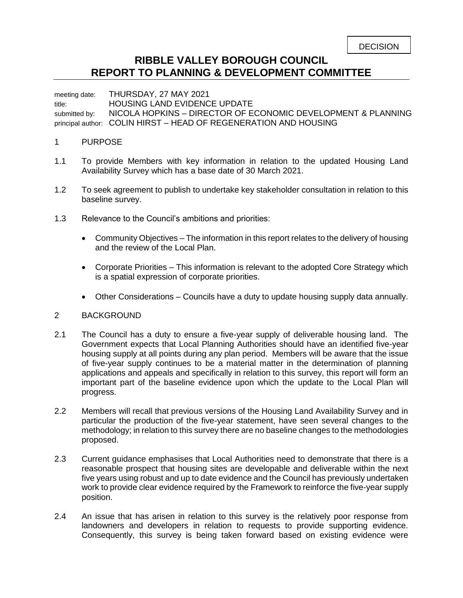## **RIBBLE VALLEY BOROUGH COUNCIL REPORT TO PLANNING & DEVELOPMENT COMMITTEE**

meeting date: THURSDAY, 27 MAY 2021

title: HOUSING LAND EVIDENCE UPDATE

submitted by: NICOLA HOPKINS – DIRECTOR OF ECONOMIC DEVELOPMENT & PLANNING principal author: COLIN HIRST – HEAD OF REGENERATION AND HOUSING

## 1 PURPOSE

- 1.1 To provide Members with key information in relation to the updated Housing Land Availability Survey which has a base date of 30 March 2021.
- 1.2 To seek agreement to publish to undertake key stakeholder consultation in relation to this baseline survey.
- 1.3 Relevance to the Council's ambitions and priorities:
	- Community Objectives The information in this report relates to the delivery of housing and the review of the Local Plan.
	- Corporate Priorities This information is relevant to the adopted Core Strategy which is a spatial expression of corporate priorities.
	- Other Considerations Councils have a duty to update housing supply data annually.

## 2 BACKGROUND

- 2.1 The Council has a duty to ensure a five-year supply of deliverable housing land. The Government expects that Local Planning Authorities should have an identified five-year housing supply at all points during any plan period. Members will be aware that the issue of five-year supply continues to be a material matter in the determination of planning applications and appeals and specifically in relation to this survey, this report will form an important part of the baseline evidence upon which the update to the Local Plan will progress.
- 2.2 Members will recall that previous versions of the Housing Land Availability Survey and in particular the production of the five-year statement, have seen several changes to the methodology; in relation to this survey there are no baseline changes to the methodologies proposed.
- 2.3 Current guidance emphasises that Local Authorities need to demonstrate that there is a reasonable prospect that housing sites are developable and deliverable within the next five years using robust and up to date evidence and the Council has previously undertaken work to provide clear evidence required by the Framework to reinforce the five-year supply position.
- 2.4 An issue that has arisen in relation to this survey is the relatively poor response from landowners and developers in relation to requests to provide supporting evidence. Consequently, this survey is being taken forward based on existing evidence were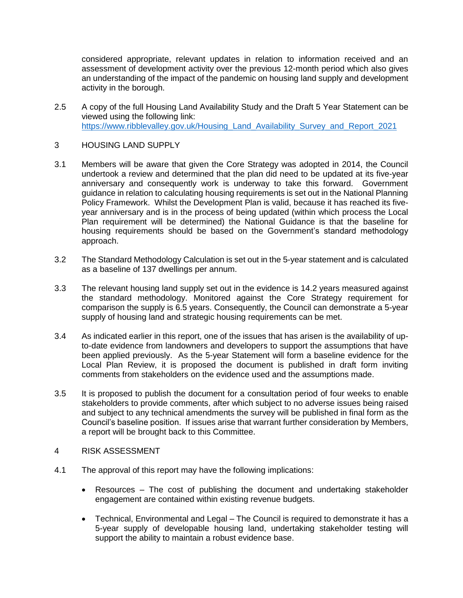considered appropriate, relevant updates in relation to information received and an assessment of development activity over the previous 12-month period which also gives an understanding of the impact of the pandemic on housing land supply and development activity in the borough.

- 2.5 A copy of the full Housing Land Availability Study and the Draft 5 Year Statement can be viewed using the following link: [https://www.ribblevalley.gov.uk/Housing\\_Land\\_Availability\\_Survey\\_and\\_Report\\_2021](https://www.ribblevalley.gov.uk/Housing_Land_Availability_Survey_and_Report_2021)
- 3 HOUSING LAND SUPPLY
- 3.1 Members will be aware that given the Core Strategy was adopted in 2014, the Council undertook a review and determined that the plan did need to be updated at its five-year anniversary and consequently work is underway to take this forward. Government guidance in relation to calculating housing requirements is set out in the National Planning Policy Framework. Whilst the Development Plan is valid, because it has reached its fiveyear anniversary and is in the process of being updated (within which process the Local Plan requirement will be determined) the National Guidance is that the baseline for housing requirements should be based on the Government's standard methodology approach.
- 3.2 The Standard Methodology Calculation is set out in the 5-year statement and is calculated as a baseline of 137 dwellings per annum.
- 3.3 The relevant housing land supply set out in the evidence is 14.2 years measured against the standard methodology. Monitored against the Core Strategy requirement for comparison the supply is 6.5 years. Consequently, the Council can demonstrate a 5-year supply of housing land and strategic housing requirements can be met.
- 3.4 As indicated earlier in this report, one of the issues that has arisen is the availability of upto-date evidence from landowners and developers to support the assumptions that have been applied previously. As the 5-year Statement will form a baseline evidence for the Local Plan Review, it is proposed the document is published in draft form inviting comments from stakeholders on the evidence used and the assumptions made.
- 3.5 It is proposed to publish the document for a consultation period of four weeks to enable stakeholders to provide comments, after which subject to no adverse issues being raised and subject to any technical amendments the survey will be published in final form as the Council's baseline position. If issues arise that warrant further consideration by Members, a report will be brought back to this Committee.
- 4 RISK ASSESSMENT
- 4.1 The approval of this report may have the following implications:
	- Resources The cost of publishing the document and undertaking stakeholder engagement are contained within existing revenue budgets.
	- Technical, Environmental and Legal The Council is required to demonstrate it has a 5-year supply of developable housing land, undertaking stakeholder testing will support the ability to maintain a robust evidence base.